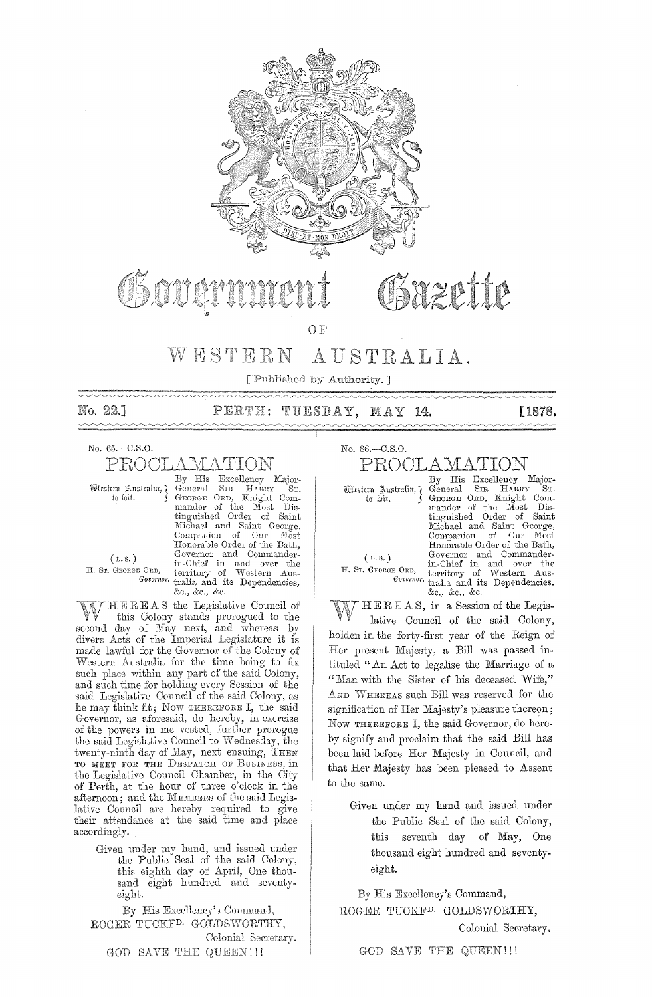

# reptip

OF

#### WESTERN AUSTRALIA.

['Published by Authority. ]

No. 22.1

TUESDAY, PERTH: MAY -14.

#### No. 65.-C.S.O.

PROCLAMATION

Western Australia, ¿ to foit.

 $(L, S. )$ 

By His Excellency Major-<br>General SIR HARRY ST.<br>GEORGE ORD, Knight Com-SIR HARRY ST. mander of the Most Dis-<br>tinguished Order of Saint<br>Michael and Saint George,<br>Companion of Our Most Honorable Order of the Bath, (**L.S.**) Governor and Commander-<br> **H.** Sr. GEORGE ORD, territory of Western Aus-*Governor*. tralia and its Dependencies, &c., &c., &c.

HEREAS the Legislative Council of this Colony stands prorogued to the second day of May next, and whereas by divers Acts of the Imperial Legislature it is made lawful for the Governor of the Colony of vVestern Australia for the time being to fix such place within any part of the said Colony, and such time for holding every Session of the said Legislative Council of the said Colony, as he may think fit; Now THEREFORE I, the said Governor, as aforesaid, do hereby, in exercise of the powers in me vested, further prorogue the said Legislative Council to Wednesday, the twenty-ninth day of May, next ensuing, THEN TO MEET FOR THE DESPATCH OF BUSINESS, in the Legislative Council Chamber, in the City of Perth, at the hour of three o'clock in the afternoon; and the MEMBERS of the said Legislative Council are hereby required to give their attendance at the said time and place accordingly.

> Given under my hand, and issued under the Public Seal of the said Colony, tbis eighth day of April, One thousand eight hundred and seventyeight.

By His Excellency's Command, ROGER TUCKF<sup>D.</sup> GOLDSWORTHY, Colonial Secretary. GOD SAVE THE QUEEN!!!

No. 86.-C.S.0. PROOLAMATION

(L. s.)

By His Excellency Major-<br>General SIR HARRY ST. Wisstern Australia, General SIR HARRY ST.<br>to wit. ( GEORGE ORD, Knight Comto wit. J GEORGE ORD, Knight Com-<br>mander of the Most Distinguished Order of Saint<br>Michael and Saint George,<br>Companion of Our Most Honorable Order of the Bath, (L.S.) Governor and Commander-<br>
H. Sr. George Ord, territory of Western Aus-*Governor*. tralia and its Dependencies, &c., &c., &c.

[1878.

HER E AS, in a Session of the Legis-

lative Council of the said Colony, holden in the forty-first year of the Reign of Her present Majesty, a Bill was passed intituled "An Act to legalise the Marriage of a "Man with the Sister of his deceased Wife," AND WHEREAS such Bill was reserved for the signification of Her Majesty's pleasure thereon; Now THEREFORE I, the said Governor, do hereby signify and proclaim that the said Bill has been laid before Her Majesty in Council, and that Her Majesty has been pleased to Assent to the same.

Given under my hand and issued under the Public Seal of the said Colony, this seventh day of May, One thousand eight hundred and seventyeight.

By His Excellency's Command, ROGER TUCKFD. GOLDSWQRTHY,

Colonial Secretary.

GOD SAVE THE QUEEN!!!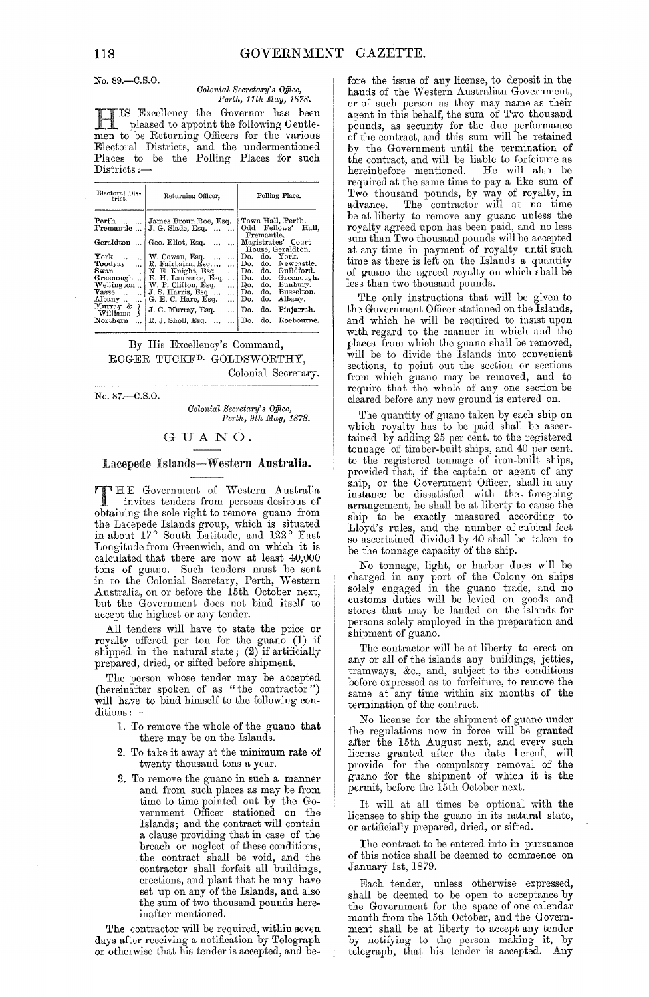No. 89.-C.S.O.

#### Colonial Secretary's Office, Perth, 11th May, 1878.

IS Excellency the Governor has been pleased to appoint the following Gentlemen to be Returning Officers for the various Electoral Districts, and the undermentioned<br>Places to be the Polling Places for such Districts:-

| Town Hall, Perth.<br>Perth   James Broun Roe, Esq.<br>Fellows'<br>Odd<br>J. G. Slade, Esq.<br>Fremantle<br>$\overline{\phantom{a}}$<br>$\cdots$<br>Fremantle.<br>Magistrates' Court<br>Geraldton  Geo. Eliot, Esq.<br>1<br>House, Geraldton.<br>$\mathbf{Y}$ ork<br>do. York.<br>W. Cowan, Esq.<br>Do.<br>$\ddotsc$<br>$\cdots$<br>$\ddotsc$<br>do. Newcastle.<br>R. Fairbairn, Esq<br>Do.<br>Toodyay<br>$\ddotsc$<br>$\ddotsc$<br>do. Guildford.<br>N. E. Knight, Esq.<br>Do.<br>Swan<br>$\dddotsc$<br>.<br>do. Greenough.<br>E. H. Laurence, Esq.<br>Greenough<br>Do. –<br>$\cdots$<br>Do. do. Bunbury.<br>Wellington<br>W. P. Clifton, Esq.<br>$\ddotsc$<br>J. S. Harris, Esq.<br>do.<br>Vasse<br>Do.<br>. 1<br><br>G. E. C. Hare, Esq.<br>do.<br>Albany<br>Do.<br><br> | Polling Place.                      |
|----------------------------------------------------------------------------------------------------------------------------------------------------------------------------------------------------------------------------------------------------------------------------------------------------------------------------------------------------------------------------------------------------------------------------------------------------------------------------------------------------------------------------------------------------------------------------------------------------------------------------------------------------------------------------------------------------------------------------------------------------------------------------|-------------------------------------|
|                                                                                                                                                                                                                                                                                                                                                                                                                                                                                                                                                                                                                                                                                                                                                                            | Hall.                               |
| Murray &<br>₹<br>J. G. Murray, Esq.<br>do.<br>Do.<br>Williams<br>do. Roebourne.<br>R. J. Sholl, Esq.<br>$\operatorname{Northern}$<br>Do.                                                                                                                                                                                                                                                                                                                                                                                                                                                                                                                                                                                                                                   | Busselton.<br>Albany.<br>Pinjarrah. |

By His Excellency's Command, ROGER TUCKF<sup>D.</sup> GOLDSWORTHY, Colonial Secretary.

No. 87.-C.S.O.

Colonial Secretary's Office, Perth, 9th May, 1878.

#### GUANO.

#### Lacepede Islands-Western Australia.

TTHE Government of Western Australia invites tenders from persons desirous of obtaining the sole right to remove guano from the Lacepede Islands group, which is situated<br>in about 17° South Latitude, and 122° East Longitude from Greenwich, and on which it is calculated that there are now at least 40,000 tons of guano. Such tenders must be sent in to the Colonial Secretary, Perth, Western<br>Australia, on or before the 15th October next, but the Government does not bind itself to accept the highest or any tender.

All tenders will have to state the price or royalty offered per ton for the guano (1) if<br>shipped in the natural state; (2) if artificially prepared, dried, or sifted before shipment.

The person whose tender may be accepted<br>(hereinafter spoken of as "the contractor") will have to bind himself to the following conditions:

- 1. To remove the whole of the guano that there may be on the Islands.
- 2. To take it away at the minimum rate of twenty thousand tons a year.
- 3. To remove the guano in such a manner and from such places as may be from time to time pointed out by the Government Officer stationed on the Islands; and the contract will contain a clause providing that in case of the breach or neglect of these conditions,<br>the contract shall be void, and the<br>contractor shall forfeit all buildings, erections, and plant that he may have set up on any of the Islands, and also<br>the sum of two thousand pounds hereinafter mentioned.

The contractor will be required, within seven days after receiving a notification by Telegraph or otherwise that his tender is accepted, and be-

fore the issue of any license, to deposit in the hands of the Western Australian Government, or of such person as they may name as their<br>agent in this behalf, the sum of Two thousand pounds, as security for the due performance<br>of the contract, and this sum will be retained by the Government until the termination of<br>the contract, and will be liable to forfeiture as hereinbefore mentioned. He will also be required at the same time to pay a like sum of Two thousand pounds, by way of royalty, in<br>advance. The contractor will at no time advance. be at liberty to remove any guano unless the royalty agreed upon has been paid, and no less sum than Two thousand pounds will be accepted at any time in payment of royalty until such time as there is left on the Islands a quantity of guano the agreed royalty on which shall be less than two thousand pounds.

The only instructions that will be given to the Government Officer stationed on the Islands, and which he will be required to insist upon with regard to the manner in which and the places from which the guano shall be removed, will be to divide the Islands into convenient sections, to point out the section or sections<br>from which guano may be removed, and to<br>require that the whole of any one section be cleared before any new ground is entered on.

The quantity of guano taken by each ship on which royalty has to be paid shall be ascertained by adding 25 per cent. to the registered tonnage of timber-built ships, and 40 per cent. to the registered tonnage of iron-built ships, provided that, if the captain or agent of any ship, or the Government Officer, shall in any instance be dissatisfied with the foregoing arrangement, he shall be at liberty to cause the ship to be exactly measured according to Lloyd's rules, and the number of cubical feet<br>so ascertained divided by 40 shall be taken to be the tonnage capacity of the ship.

No tonnage, light, or harbor dues will be charged in any port of the Colony on ships solely engaged in the guano trade, and no customs duties will be levied on goods and stores that may be landed on the islands for persons solely employed in the preparation and shipment of guano.

The contractor will be at liberty to erect on any or all of the islands any buildings, jetties, tramways, &c., and, subject to the conditions before expressed as to forfeiture, to remove the same at any time within six months of the termination of the contract.

No license for the shipment of guano under<br>the regulations now in force will be granted after the 15th August next, and every such license granted after the date hereof, will<br>provide for the compulsory removal of the<br>guano for the shipment of which it is the permit, before the 15th October next.

It will at all times be optional with the licensee to ship the guano in its natural state, or artificially prepared, dried, or sifted.

The contract to be entered into in pursuance of this notice shall be deemed to commence on January 1st, 1879.

Each tender, unless otherwise expressed, shall be deemed to be open to acceptance by the Government for the space of one calendar month from the 15th October, and the Government shall be at liberty to accept any tender by notifying to the person making it, by telegraph, that his tender is accepted. Any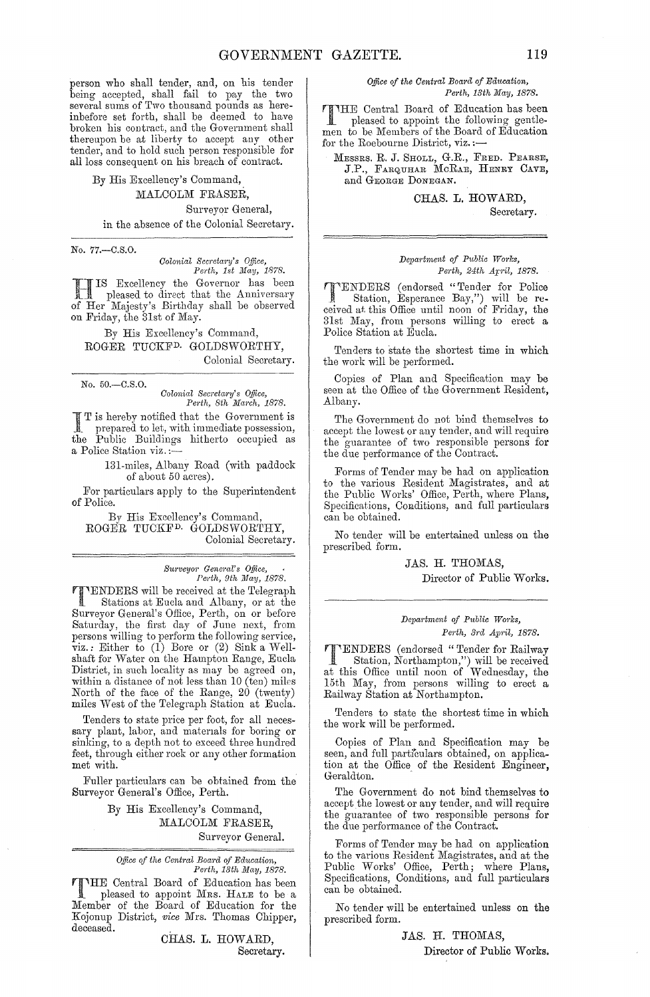person who shall tender, and, on his tender being accepted, shall fail to pay the two several sums of Two thousand pounds as hereinbefore set forth, shall be deemed to have broken his contract, and the Government shall thereupon be at liberty to accept any other tender, and to hold such person responsible for all loss consequent on his breach of contract.

By His Excellency's Command, MALCOLM FRASER, Surveyor General, in the absence of the Colonial Secretary.

No. 77.-C.S.O.

*Colonial Secretary's Office,* 

*Perth, 1st May, 1878.* HIS Excellency the Governor has been pleased to direct that the Anniversary of Her Majesty's Birthday shall be observed on Friday, the 31st of May.

By His Excellency's Command, ROGER TUCKFD. GOLDSWORTHY, Colonial Secretary.

No. 50.-C.S.0.

*Colonial Sec)'etal'Y's O.ffice, Pel'th, 8th March, 1878.* 

If I is hereby notified that the Government is<br>prepared to let with in the Severnment is prepared to let, with immediate possession, the Public Buildings hitherto occupied as a Police Station viz.:

> 131-miles, Albany Road (with paddock of about 50 acres).

For particulars apply to the Superintendent of Police.

*BV* His Excellency's Command, ROGER TUCKFD. GOIJDSWORTHY, Colonial Secretary.

> *Surveyor General's Office,* ...<br>Perth, 9th May, 1878. *Pe'fth, 9th JJIay, 1878.*

**TENDERS** will be received at the Telegraph<br>Stations at Eucla and Albany, or at the<br>Suppose Cancelle Office, Both and an actions Stations at Eucla and Albany, or at the Surveyor General's Office, Perth, on or before Saturday, the first day of June next, from persons willing to perform the following service, viz.: Either to (1) Bore or (2) Sink a Wellshaft for Water on the Hampton Range, Eucla District, in such locality as may be agreed on, within a distance of not less than 10 (ten) miles North of the face of the Range, 20 (twenty) miles West of the Telegraph Station at Eucla.

Tenders to state price per foot, for all necessary plant, labor, and materials for boring or sinking, to a depth not to exceed three hundred feet, through either rock or any other formation met with.

Fuller particulars can be obtained from the Surveyor General's Office, Perth.

> By His Excellency's Command, MALCOLM FRASER, Surveyor General.

*Office of the Centred Boa"d of Education, Perth, 13th May, 1878.* 

THE Central Board of Education has been<br>pleased to annoint Mnc. II pleased to appoint MRS. HALE to be a Member of the Board of Education for the Kojonup District, *vice* Mrs. Thomas Chipper, deceased.

> CHAS. L. HOWARD, Secretary.

#### *Office of the Central Board of Education, Perth, 13th May, 1878.*

THE Central Board of Education has been<br>pleased to appoint the following gentle-<br>mon to be Mombove of the Board of Education men to be Members of the Board of Education<br>for the Roebourne District, viz. :—

MESSRS. R. J. SHOLL, G.R., FRED. PEARSE, J.P., FARQUHAR MCRAE, HENRY CAVE, and GEOEGE DONEGAN.

> CHAS. L. HOWARD, Secretary.

*Depa,·trnent of Pttblic Works, Pedh, 24th Ap'il, 1878.* 

TENDERS (endorsed "Tender for Police , Stettion, Esperance Bay,") will be received at this Office until noon of Friday, the 31st May, from persons willing to erect a Police Station at Eucla.

Tenders to state the shortest time in which the work will be performed.

Copies of Plan and Specification may be seen at the Office of the Government Resident, Albany.

The Government do not bind themselves to accept the lowest or any tender, and will require the guarantee of two responsIble persons for the due performance of the Contract.

Forms of Tender may be had on application to the various Resident Magistrates, and at the Public Works' Office, Perth, where Plans, Specifications, Conditions, and full particulars can be obtained.

No tender will be entertained unless on the prescribed form.

JAS. H. THOMAS,

Director of Public Works.

#### *Depal·tment of Public W01'ks,*  Perth, 3rd April, 1878.

**TENDERS** (endorsed "Tender for Railway<br>
Station, Northampton,") will be received<br>
at this Office until near of Wednesday the at this Office until noon of Wednesday, the 15th May, from persons willing to erect a Railway Station at Northampton.

Tenders to state the shortest time in which the work will be performed.

Copies of Plan and Specification may be seen, and full particulars obtained, on application at the Office of the Resident Engineer, Geraldton.

The Government do not bind themselves to accept the lowest or any tender, and will require the guamntee of two responsible persons for the due performance of the Contract.

Forms of Tender may be had on application to the various Resident Magistrates, and at the Public Works' Office, Perth; where Plans, Specifications, Conditions, and full particulars can be obtained.

No tender will be entertained unless on the prescribed form.

> JAS. H. THOMAS, Director of Public Works.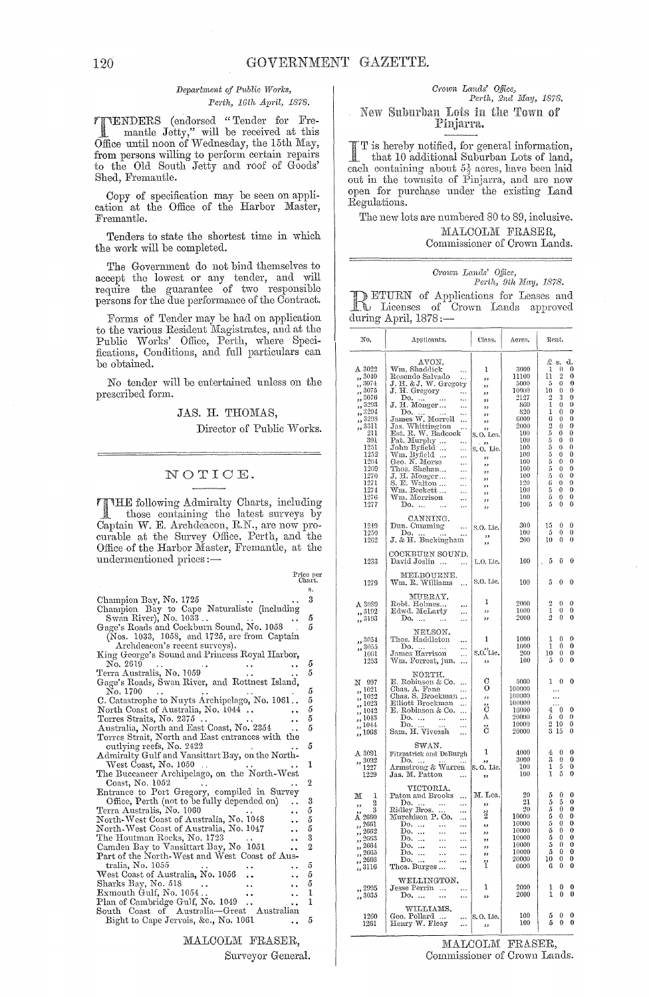#### Department of Public Works, Perth, 16th April, 1878.

from persons willing to perform certain repairs<br>to the Old South Jetty and roof of Goods' Shed, Fremantle.

 $\begin{minipage}{.4\linewidth} \hbox{Copy of specification may be seen on appli-cation at the Office of the Harbor Master,} \end{minipage} \vspace{0.5mm}$ Fremantle.

Tenders to state the shortest time in which the work will be completed.

The Government do not bind themselves to all covernment to not bind themselves to<br>accept the lowest or any tender, and will<br>require the guarantee of two responsible<br>persons for the due performance of the Contract.

Forms of Tender may be had on application to the various Resident Magistrates, and at the<br>Public Works' Office, Perth, where Specifications, Conditions, and full particulars can be obtained.

No tender will be entertained unless on the prescribed form.

#### JAS. H. THOMAS,

Director of Public Works.

Price per

#### NOTICE.

TTHE following Admiralty Charts, including those containing the latest surveys by Captain W. E. Archdeacon, R.N., are now procurable at the Survey Office, Perth, and the Office of the Harbor Master, Fremantle, at the undermentioned prices:-

|                                                      | .              |
|------------------------------------------------------|----------------|
|                                                      | s.             |
| Champion Bay, No. 1725                               | 3              |
| Champion Bay to Cape Naturaliste (including          |                |
| Swan River), No. 1033                                | 5              |
| Gage's Roads and Cockburn Sound, No. 1058            | 5              |
| (Nos. 1033, 1058, and 1725, are from Captain         |                |
| Archdeacon's recent surveys).                        |                |
| King George's Sound and Princess Royal Harbor,       |                |
|                                                      |                |
| No. 2619                                             | 5<br>5         |
| Terra Australis, No. 1059                            |                |
| Gage's Roads, Swan River, and Rottnest Island,       |                |
| No. 1700                                             | 5              |
| C. Catastrophe to Nuyts Archipelago, No. 1061        | 5              |
| North Coast of Australia, No. 1044.                  | 5              |
| Torres Straits, No. 2375                             | 5              |
| Australia, North and East Coast, No. 2354            | 5              |
| Torres Strait, North and East entrances with the     |                |
| outlying reefs, No. 2422                             | 5              |
| Admiralty Gulf and Vansittart Bay, on the North-     |                |
| West Coast, No. 1050                                 | 1              |
| The Buccaneer Archipelago, on the North-West         |                |
| Coast, No. 1052                                      | 2              |
| Entrance to Port Gregory, compiled in Survey         |                |
| Office, Perth (not to be fully depended on)<br>. .   | 3              |
| Terra Australis, No. 1060                            | 5              |
| North-West Coast of Australia, No. 1048<br>i.        | 5              |
| North-West Coast of Australia, No. 1047              | 5              |
| $\ddot{\phantom{1}}$<br>The Houtman Rocks, No. 1723  | 3              |
| Camden Bay to Vansittart Bay, No. 1051               | $\overline{2}$ |
| . .<br>Part of the North-West and West-Coast of Aus- |                |
|                                                      |                |
| tralia, No. 1055                                     | 5              |
| West Coast of Australia, No. 1056<br>. .             | 5              |
| Sharks Bay, No. 518                                  | 5              |
| Exmouth Gulf, No. 1054<br>. .                        | 1              |
| Plan of Cambridge Gulf, No. 1049<br>. .              | $\mathbf{1}$   |
| South Coast of Australia-Great Australian            |                |
| Bight to Cape Jervois, &c., No. 1061                 | 5              |
|                                                      |                |
| MALCOLM<br>FRASER.                                   |                |

Surveyor General.

### Crown Lands' Office,<br>Perth, 2nd May, 1878. New Suburban Lots in the Town of Pinjarra.

T is hereby notified, for general information, that 10 additional Suburban Lots of land, each containing about  $5\frac{1}{3}$  acres, have been laid out in the townsite of Pinjarra, and are now open for purchase under the existing Land Regulations.

The new lots are numbered 80 to 89, inclusive. MALCOLM FRASER.

Commissioner of Crown Lands.

#### Crown Lands' Office, Perth, 9th May, 1878.

**DETURN** of Applications for Leases and<br> **L** Licenses of Crown Lands approved<br>
during April, 1878.—

| No.                                                                                                                                                                                          | Applicants.                                                                                                                                                                                                                                                                                                                                                                                                                                                                                                                                                                                             | Class.                                                                                                                                          | Acres.                                                                                                                                            | Rent.                                                                                                                                                                                                                                                                                                                                                                                                                                                                                           |
|----------------------------------------------------------------------------------------------------------------------------------------------------------------------------------------------|---------------------------------------------------------------------------------------------------------------------------------------------------------------------------------------------------------------------------------------------------------------------------------------------------------------------------------------------------------------------------------------------------------------------------------------------------------------------------------------------------------------------------------------------------------------------------------------------------------|-------------------------------------------------------------------------------------------------------------------------------------------------|---------------------------------------------------------------------------------------------------------------------------------------------------|-------------------------------------------------------------------------------------------------------------------------------------------------------------------------------------------------------------------------------------------------------------------------------------------------------------------------------------------------------------------------------------------------------------------------------------------------------------------------------------------------|
| $\Lambda$ 3022<br>,, 3040<br>,, 3074<br>,, 3075<br>,, 3076<br>,, 3293<br>,, 3294<br>,, 3298<br>,, 3311<br>211<br>391<br>1251<br>1252<br>1264<br>1269<br>1270<br>1271<br>1274<br>1276<br>1277 | AVON.<br>Wm. Shaddick<br>$\ddotsc$<br>Rosendo Salvado<br>$\ddotsc$<br>J. H. & J. W. Gregory<br>J. H. Gregory<br>$\sim$<br>$\frac{Do}{J. H. Monger}$<br>$\ddotsc$<br><br>Do.<br>James W. Morrell<br>Jas. Whittington<br>Radcoc.<br>$\ddotsc$<br><br>Jas. Whittington<br>Est. R. W. Badcock<br><br>Pat. Murphy<br>John Byfield<br>Wm. Byfield<br>Geo. N. Morse<br>$\ldots$<br>$\ddotsc$<br>$\ddotsc$<br>$\cdots$<br>Thos. Shehan<br>J. H. Monger<br>S. E. Walton<br>Wm. Beckett<br>$\ldots$<br>$\cdots$<br>$\ddotsc$<br>$\ddotsc$<br>Wm. Morrison<br>$\ddotsc$<br>Do.<br>$\cdots$<br>$\cdots$<br>$\cdots$ | 1<br>,,<br>,,<br>,,<br>,,<br>وو<br>,,<br>,,<br>,,<br>S.O. Lea.<br>$\overrightarrow{S}$ . O. Lic.<br>,,<br>,<br>,,<br>,,<br>,,<br>,,<br>,,<br>,, | 3000<br>11100<br>5000<br>10000<br>2127<br>860<br>820<br>6000<br>2000<br>100<br>100<br>100<br>100<br>100<br>100<br>100<br>120<br>100<br>100<br>100 | Ŀ<br>d.<br>s.<br>ı<br>€<br>0<br>$^{9}$<br>11<br>0<br>$\mathbf{0}$<br>$\bf{0}$<br>5<br>$^{10}$<br>$\theta$<br>$\bf{0}$<br>$\overline{2}$<br>3<br>$\bf{0}$<br>ı<br>0<br>0<br>ı<br>$\mathbf 0$<br>$^{0}$<br>6<br>$\boldsymbol{0}$<br>0<br>$\frac{2}{5}$<br>$\bf{0}$<br>$\bf{0}$<br>0<br>0<br>55555<br>0<br>$\bf{0}$<br>$\theta$<br>0<br>$\mathbf{0}$<br>$\mathbf 0$<br>0<br>0<br>$\bf{0}$<br>0<br>$\bf{0}$<br>0<br>$\frac{6}{5}$<br>$\theta$<br>0<br>0<br>0<br>5<br>$\bf{0}$<br>0<br>$\theta$<br>0 |
| 1249<br>1250<br>1262                                                                                                                                                                         | CANNING.<br>$\mathop{\rm Dun.}\nolimits$ Cumming<br>$\ddotsc$<br>Do.<br><br>J. & H. Buckingham                                                                                                                                                                                                                                                                                                                                                                                                                                                                                                          | S.O. Lic.<br>55<br>,,                                                                                                                           | 300<br>100<br>200                                                                                                                                 | 0<br>15<br>0<br>0<br>5<br>0<br>$\overline{0}$<br>10<br>0                                                                                                                                                                                                                                                                                                                                                                                                                                        |
| 1233                                                                                                                                                                                         | COCKBURN SOUND.<br>David Joslin<br>$\ddotsc$<br>$\ddotsc$                                                                                                                                                                                                                                                                                                                                                                                                                                                                                                                                               | L.O. Lic.                                                                                                                                       | 100                                                                                                                                               | 5<br>0<br>0<br>J                                                                                                                                                                                                                                                                                                                                                                                                                                                                                |
| 1279                                                                                                                                                                                         | MELBOURNE.<br>Wm. R. Williams<br>                                                                                                                                                                                                                                                                                                                                                                                                                                                                                                                                                                       | S.O. Lic.                                                                                                                                       | 100                                                                                                                                               | 5<br>0<br>0                                                                                                                                                                                                                                                                                                                                                                                                                                                                                     |
| A 3089<br>,, 3192<br>,, 3193                                                                                                                                                                 | MURRAY.<br>Robt Holmes<br><br>Edwd. McLarty<br><br>Do.<br><br>$\cdots$                                                                                                                                                                                                                                                                                                                                                                                                                                                                                                                                  | 1<br>,,<br>,,                                                                                                                                   | 2000<br>1000<br>2000                                                                                                                              | $\overline{2}$<br>0<br>$\Omega$<br>ı<br>$\boldsymbol{0}$<br>0<br>ą<br>Ô<br>$\mathbf 0$                                                                                                                                                                                                                                                                                                                                                                                                          |
| ,, 3054<br>3055<br>,,<br>1061<br>1253                                                                                                                                                        | NELSON.<br>Thos. Haddleton<br><br>Do.<br>James Harrison<br><br>$\ddotsc$<br>Wm. Forrest, jun.<br>$\ddotsc$                                                                                                                                                                                                                                                                                                                                                                                                                                                                                              | 1<br>SOTLie.<br>,,                                                                                                                              | 1000<br>1000<br>$_{200}$<br>100                                                                                                                   | $\theta$<br>1<br>0<br>$\mathbf{1}$<br>$\bf{0}$<br>$\bf{0}$<br>0<br>0<br>10<br>0<br>0<br>5                                                                                                                                                                                                                                                                                                                                                                                                       |
| - 997<br>N<br>,, 1021<br>, 1022<br>,, 1023<br>, 1042<br>, 1043<br>, 1014<br>,, 1068                                                                                                          | NORTH.<br>E. Robinson & Co.<br>$\sim$<br>Chas. A. Fane<br>Chas. S. Brockman<br>Elliott Brockman<br>E. Robinson & Co.<br>$\ldots$<br>$\begin{array}{ccc}\n\text{Do.} & \dots & \dots \\ \text{Do.} & \dots & \dots\n\end{array}$<br><br><br>Sam, H. Viveash<br>.                                                                                                                                                                                                                                                                                                                                         | С<br>о<br>$\overline{\phantom{a}}$<br>ő<br>Α<br>ő                                                                                               | 5000<br>100000<br>$_{10000}$<br>100000<br>16000<br>20000<br>10000<br>20000                                                                        | $\theta$<br>0<br>ı<br>$\ddotsc$<br>$\overline{4}$<br>$\theta$<br>$\theta$<br>$\boldsymbol{0}$<br>0<br>5<br>2<br>10<br>$^{o}$<br>15<br>0                                                                                                                                                                                                                                                                                                                                                         |
| A 3091<br>3092<br>٠,<br>1227<br>1229                                                                                                                                                         | SWAN.<br>Fitzpatrick and DeBurgh<br>Ď0.<br>Armstrong & Warren<br>Jas. M. Patton<br>                                                                                                                                                                                                                                                                                                                                                                                                                                                                                                                     | 1<br>S. O. Lic.<br>,,                                                                                                                           | 4000<br>3000<br>100<br>100                                                                                                                        | $\boldsymbol{0}$<br>$\boldsymbol{4}$<br>$\bf{0}$<br>3<br>0<br>0<br>$\frac{5}{5}$<br>$\overline{0}$<br>I<br>٦<br>O                                                                                                                                                                                                                                                                                                                                                                               |
| M<br>1<br>2<br>,,<br>3<br>$\stackrel{\bullet}{\Lambda}$ 2660<br>2661<br>وو<br>, 2662<br>2663<br>33<br>2664<br>,<br>$, \frac{2665}{3}$<br>,, 2666<br>,,3116                                   | VICTORIA.<br>Paton and Brooks<br><br>Ridley Bros.<br>Muraha<br><br>maey Bros.<br>Murchison P. Co.<br>$\cdots$<br><br>Do.<br>$\ldots$<br><br>$\underline{p}$ o.<br>$\ddotsc$<br><br>Do.<br>$\ldots$<br>$\ddotsc$<br><br>Do.<br>$\ddotsc$<br>$\cdots$<br>.<br>Do.<br>$\cdots$<br><br>Do.<br>$\dddotsc$<br>$\cdots$<br>$\cdots$<br>Thos. Burges<br>$\ddotsc$                                                                                                                                                                                                                                               | M. Lea.<br>,,<br>3<br>$\overline{\phantom{a}}$<br>55<br>,,<br>,,<br>,,<br>ï                                                                     | 20<br>21<br>20<br>10000<br>10000<br>10000<br>10000<br>10000<br>10000<br>20000<br>6000                                                             | 555555555<br>0<br>0<br>5<br>$\bf{0}$<br>0<br>0<br>0<br>0<br>$\mathbf 0$<br>0<br>$\bf{0}$<br>$\bf{0}$<br>0<br>0<br>Ö<br>$\bf{0}$<br>0<br>0<br>$^{10}$<br>$\bf{0}$<br>0<br>0<br>6<br>0                                                                                                                                                                                                                                                                                                            |
| ,, 2995<br>,, 3035                                                                                                                                                                           | WELLINGTON.<br>Jesse Perrin<br>$\cdots$<br>Do.<br>                                                                                                                                                                                                                                                                                                                                                                                                                                                                                                                                                      | 1<br>دد                                                                                                                                         | 2000<br>2000                                                                                                                                      | 0<br>0<br>ı<br>ı<br>0<br>0                                                                                                                                                                                                                                                                                                                                                                                                                                                                      |
| 1260<br>1261                                                                                                                                                                                 | WILLIAMS.<br>Geo. Pollard<br>$\cdots$<br>Henry W. Fleay<br>$\ddotsc$                                                                                                                                                                                                                                                                                                                                                                                                                                                                                                                                    | S.O. Lic.<br>,,                                                                                                                                 | 100<br>100                                                                                                                                        | 0<br>0<br>$\frac{5}{5}$<br>0<br>$\bf{0}$                                                                                                                                                                                                                                                                                                                                                                                                                                                        |

MALCOLM FRASER, Commissioner of Crown Lands.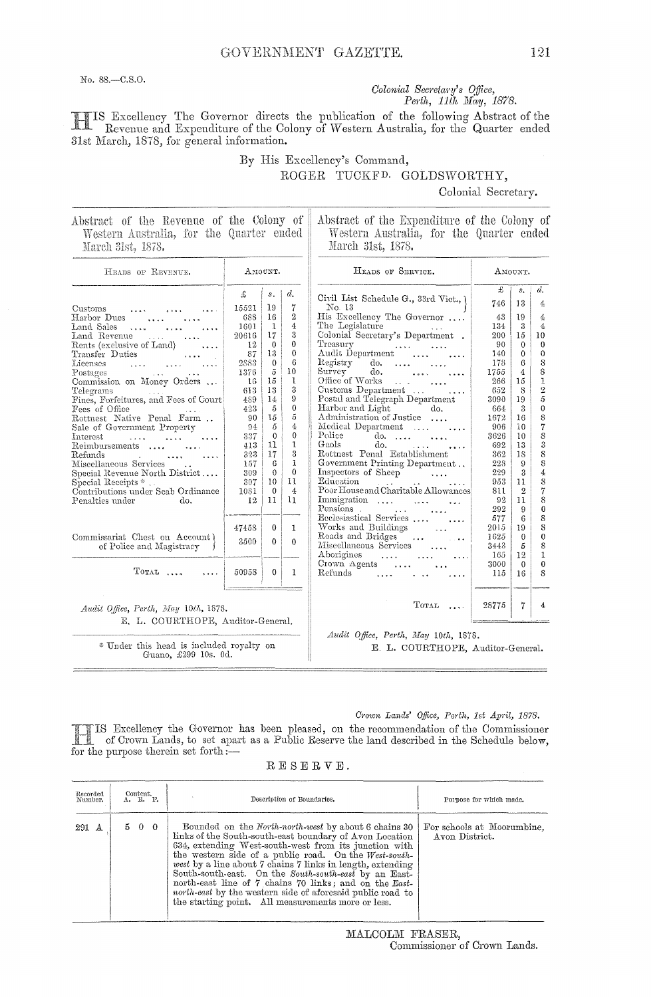No. 88.-C.S.O.

#### Colonial Secretary's Office, Perth, 11th May, 1878.

TIS Excellency The Governor directs the publication of the following Abstract of the Revenue and Expenditure of the Colony of Western Australia, for the Quarter ended 31st March, 1878, for general information.

By His Excellency's Command,

ROGER TUCKFD. GOLDSWORTHY,

#### Colonial Secretary.

| Abstract of the Revenue of the Colony of |  |  |  |  |  |
|------------------------------------------|--|--|--|--|--|
| Western Australia, for the Quarter ended |  |  |  |  |  |
| March 31st, 1878.                        |  |  |  |  |  |

Abstract of the Expenditure of the Colony of Western Australia, for the Quarter ended March 31st, 1878.

| HEADS OF REVENUE.                                                                                                                                                                                                                                                                                                                                                                                                                           |                                                                                                       | AMOUNT.                                                                                                                                                 |                                                                                                                                              | HEADS OF SERVICE.                                                                                                                                                                                                                                                                                                                                                                                                                       |                                                                                                      | AMOUNT.                                                                                |                                                                                                                                                                           |
|---------------------------------------------------------------------------------------------------------------------------------------------------------------------------------------------------------------------------------------------------------------------------------------------------------------------------------------------------------------------------------------------------------------------------------------------|-------------------------------------------------------------------------------------------------------|---------------------------------------------------------------------------------------------------------------------------------------------------------|----------------------------------------------------------------------------------------------------------------------------------------------|-----------------------------------------------------------------------------------------------------------------------------------------------------------------------------------------------------------------------------------------------------------------------------------------------------------------------------------------------------------------------------------------------------------------------------------------|------------------------------------------------------------------------------------------------------|----------------------------------------------------------------------------------------|---------------------------------------------------------------------------------------------------------------------------------------------------------------------------|
| Customs<br><b>Address Contracts</b><br>Harbor Dues<br>$\sim$ 100 $\sim$ 100 $\sim$<br>Land Sales<br><b><i>Charles Charles</i></b><br>Land Revenue<br><b>Contractor</b><br>Rents (exclusive of Land)<br>.<br>Transfer Duties<br>Licenses<br><b>Contractor</b><br>Postages<br>Commission on Money Orders<br>Telegrams<br>Fines, Forfeitures, and Fees of Court<br>Fees of Office<br>Rottnest Native Penal Farm<br>Sale of Government Property | £<br>15521<br>688<br>1601<br>20616<br>12<br>87<br>2883<br>1376<br>16<br>613<br>489<br>423<br>90<br>94 | s.<br>19<br>16<br>$\mathbf{1}$<br>17<br>$\mathbf{0}$<br>13<br>$\theta$<br>$\tilde{\mathfrak{g}}$<br>15<br>13<br>14<br>$\tilde{\mathfrak{d}}$<br>15<br>5 | $d_{\cdot}$<br>7<br>$\overline{2}$<br>$\overline{4}$<br>3<br>0<br>$\Omega$<br>6<br>10<br>1<br>3<br>9<br>0<br>5<br>$\overline{4}$<br>$\theta$ | Civil List Schedule G., 33rd Vict., \<br>No. 13<br>His Excellency The Governor<br>The Legislature<br>Colonial Secretary's Department.<br>Treasury<br>Audit Department<br>Registry<br>$\phi$ .<br>Survey<br>$\phi$ .<br>Office of Works<br><b>Contract Contract</b><br>Customs Department $\dots$<br>$\cdots$<br>Postal and Telegraph Department<br>Harbor and Light<br>do.<br>Administration of Justice<br>Medical Department<br>Police | £<br>746<br>43<br>134<br>200<br>90<br>140<br>178<br>1755<br>266<br>652<br>3090<br>664<br>1672<br>906 | s.<br>13<br>19<br>3<br>15<br>0<br>$\bf{0}$<br>6<br>4<br>15<br>8<br>19<br>3<br>16<br>10 | $d_{\bullet}$<br>4<br>4<br>$\overline{4}$<br>10<br>$\theta$<br>$\theta$<br>S<br>8<br>$\mathbf 1$<br>$\overline{2}$<br>$\tilde{\sigma}$<br>$\theta$<br>8<br>$\overline{7}$ |
| Interest<br>المتحدث المحددة<br>Reimbursements<br>Refunds<br>and the company of the company of the company of the company of the company of the company of the company of the<br>Miscellaneous Services<br>Special Revenue North District<br>Special Receipts *<br>Contributions under Scab Ordinance<br>Penalties under<br>do.                                                                                                              | 337<br>413<br>323<br>157<br>309<br>307<br>1081<br>12                                                  | $\theta$<br>11<br>17<br>6<br>$\Omega$<br>10<br>$\theta$<br>11                                                                                           | 1<br>3<br>1<br>$\theta$<br>11<br>$\overline{4}$<br>11                                                                                        | do. $\ldots$ $\ldots$<br>Gaols<br>do.<br>Rottnest Penal Establishment<br>Government Printing Department<br>Inspectors of Sheep<br>Education<br>and the state of the state of<br>Poor House and Charitable Allowances<br>Immigration<br>Pensions .<br>$\mathcal{L}^{\text{max}}$ , where $\mathcal{L}^{\text{max}}$<br>Ecclesiastical Services                                                                                           | 3626<br>692<br>362<br>228<br>229<br>953<br>811<br>92<br>292<br>577                                   | 10<br>13<br>18<br>9<br>3<br>11<br>$\overline{2}$<br>11<br>9<br>6                       | 8<br>3<br>8<br>8<br>$\overline{4}$<br>8<br>$\overline{7}$<br>8<br>$\bf{0}$<br>8                                                                                           |
| Commissariat Chest on Account)<br>of Police and Magistracy                                                                                                                                                                                                                                                                                                                                                                                  | 47458<br>3500                                                                                         | $\Omega$<br>$\Omega$                                                                                                                                    | 1<br>0                                                                                                                                       | $\cdots$<br>Works and Buildings<br>$\sim$ $\sim$ $\sim$<br>Roads and Bridges<br>Miscellaneous Services<br>Aborigines<br>$\ldots$                                                                                                                                                                                                                                                                                                        | 2015<br>1625<br>3443<br>165                                                                          | 19<br>$\theta$<br>5<br>12                                                              | 8<br>$\theta$<br>8<br>$\mathbf{1}$                                                                                                                                        |
| $T$ OTAL                                                                                                                                                                                                                                                                                                                                                                                                                                    | 50958                                                                                                 | 0                                                                                                                                                       | 1                                                                                                                                            | Crown Agents $\dots$<br>Refunds                                                                                                                                                                                                                                                                                                                                                                                                         | 3000<br>115                                                                                          | $\theta$<br>16                                                                         | $\theta$<br>8                                                                                                                                                             |
| Audit Office, Perth, May 10th, 1878.<br>E. L. COURTHOPE, Auditor-General.                                                                                                                                                                                                                                                                                                                                                                   |                                                                                                       |                                                                                                                                                         |                                                                                                                                              | $T$ <sub>OTAL</sub>                                                                                                                                                                                                                                                                                                                                                                                                                     | 28775                                                                                                | 7                                                                                      | 4                                                                                                                                                                         |
| * Under this head is included royalty on<br>Guano, £299 10s. 0d.                                                                                                                                                                                                                                                                                                                                                                            |                                                                                                       |                                                                                                                                                         |                                                                                                                                              | Audit Office, Perth, May 10th, 1878.<br>E. L. COURTHOPE, Auditor-General.                                                                                                                                                                                                                                                                                                                                                               |                                                                                                      |                                                                                        |                                                                                                                                                                           |

#### Crown Lands' Office, Perth, 1st April, 1878.

IS Excellency the Governor has been pleased, on the recommendation of the Commissioner<br>of Crown Lands, to set apart as a Public Reserve the land described in the Schedule below,  $\mathbb{R}$ for the purpose therein set forth :-

|  |  | RESERVE. |  |  |
|--|--|----------|--|--|
|  |  |          |  |  |

| Recorded<br>Number |  | $\overset{\text{Content.}}{\Lambda}$ , $\overset{\text{R.}}{\Lambda}$ , $\overset{\text{P.}}{\Lambda}$ | Description of Boundaries.                                                                                                                                                                                                                                                                                                                                                                                                                                                                                                                    | Purpose for which made.                      |
|--------------------|--|--------------------------------------------------------------------------------------------------------|-----------------------------------------------------------------------------------------------------------------------------------------------------------------------------------------------------------------------------------------------------------------------------------------------------------------------------------------------------------------------------------------------------------------------------------------------------------------------------------------------------------------------------------------------|----------------------------------------------|
| 291 A              |  | 5 0 0                                                                                                  | Bounded on the <i>North north-west</i> by about 6 chains 30<br>links of the South-south-east boundary of Avon Location<br>634, extending West-south-west from its junction with<br>the western side of a public road. On the West-south-<br>west by a line about 7 chains 7 links in length, extending<br>South-south-east. On the South-south-east by an East-<br>north-east line of 7 chains 70 links; and on the East-<br>north-east by the western side of aforesaid public road to<br>the starting point. All measurements more or less. | For schools at Moorumbine.<br>Avon District. |

MALCOLM FRASER, Commissioner of Crown Lands.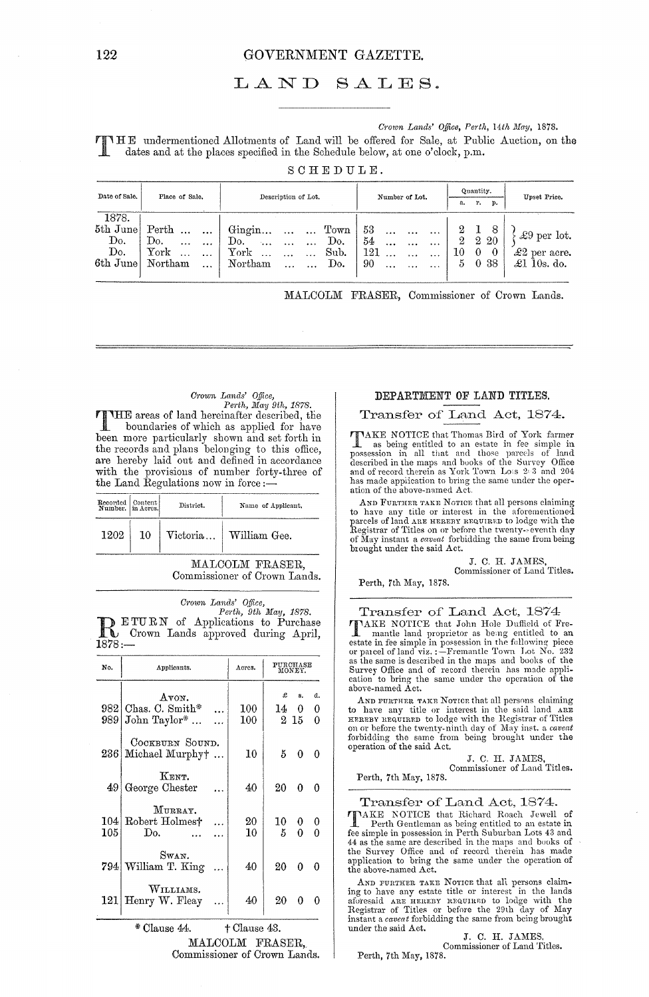#### 122 GOVERNMENT GAZETTE.

#### LAND SALES.

*Cl'own Lands' Office, Perth, 14th May, 1878.* 

T HE undermentioned Allotments of Land will be offered for Sale, at Public Auction, on the dates and at the places specified in the Schedule below, at one o'clock, p.m. SCHEDULE.

| Date of Sale.                               | Place of Sale.                                                                                | Description of Lot.                                                                                                                                      | Number of Lot.                                                                                                                           | Quantity.<br>r.<br>p.<br>a.                                                            | Upset Price.                                                       |
|---------------------------------------------|-----------------------------------------------------------------------------------------------|----------------------------------------------------------------------------------------------------------------------------------------------------------|------------------------------------------------------------------------------------------------------------------------------------------|----------------------------------------------------------------------------------------|--------------------------------------------------------------------|
| 1878.<br>5th June<br>Do.<br>Do.<br>6th June | Perth<br>$\cdots$<br>Do.<br>$\ddotsc$<br>$\cdots$<br>York<br>$\ddotsc$<br>Northam<br>$\cdots$ | Gingin<br>T <sub>own</sub><br>$\cdots$ $\cdots$<br>Do.<br>Do.<br>$\sim$ .<br>$\cdots$<br>${\rm York}$<br>Sub.<br>$\cdots$<br>Northam<br>Do.<br>$\ddotsc$ | -53<br>$\ddotsc$<br>$\cdots$<br>$\cdots$<br>54<br>$\cdots$<br>$\cdots$<br><br>121<br>$\cdots$<br>90<br>$\ddotsc$<br>$\cdots$<br>$\cdots$ | 8<br>$\overline{2}$<br>$\perp$<br>2<br>2 20<br>10<br>$\theta$<br>$\theta$<br>5<br>0 38 | $\pounds9$ per lot.<br>$\pounds2$ per acre.<br>$\pounds1$ 10s. do. |

MALCOLM FRASER, Commissioner of Crown Lands.

## *CI'own Lands' Office, Pel·th, May 9th, 1878.*

THE areas of land hereinafter described, the<br>boundaries of which as applied for have<br>been more pertinderly shown and set forth in been more particularly shown and set forth in the records and plans belonging to this office, are hereby laid out and defined in accordance with the provisions of number forty-three of the Land Regulations now in force :—

| Recorded Content |    | District. | Name of Applicant. |
|------------------|----|-----------|--------------------|
| 1202             | 10 | Victoria  | William Gee.       |

MALCOLM FRASER, Commissioner of Crown Lands.

*Crown Lands' Office,*<br> *Perth, 9th May, 1878.*<br> **R** ETURN of Applications to Purchase<br>
Crown Lands approved during April, 1878:-

| No.        | Applicants.                                    |            | Acres.                                     |          | PURCHASE<br>MONEY.  |               |
|------------|------------------------------------------------|------------|--------------------------------------------|----------|---------------------|---------------|
| 9891       | Avon.<br>982   Chas. C. Smith*<br>John Taylor* |            | 100<br>$100\,$                             | £<br>14  | s.<br>0.<br>$2\;15$ | d.<br>0<br>0  |
|            | COCKBURN SOUND.<br>236 Michael Murphyt         | $\dddotsc$ | 10                                         | 5.       | 0                   | 0             |
| 49         | KENT.<br>George Chester                        |            | 40                                         | 20.      | 0                   | $\theta$      |
| 104<br>105 | MURRAY.<br>Robert Holmest<br>Do.               |            | 20<br>10                                   | 10<br>5. | 0.<br>0             | $\bf{0}$<br>0 |
|            | Swan.<br>794 William T. King                   |            | 40                                         | 20       | $\Omega$            | -0            |
| 121        | WILLIAMS.<br>Henry W. Fleay                    |            | 40                                         | 20       | 0                   |               |
|            | * Clause 44.                                   |            | <sup><math>\dagger</math></sup> Clause 43. |          |                     |               |

MALCOLM FRASER,

Commissioner of Crown Lands.

#### DEPARTMENT OF LAND TITLES.

#### Transfer of Land Act, 1874.

TAKE NOTICE that Thomas Bird of York farmer **L** as being entitled to an estate in fee simple in possession in all that and those parcels of land described in the maps and buoks of the Survey Office and of record therein as York Town Lots 203 and 204 has made application to bring the same under the operation of the above-named Act.

AND FURTHER TAKE NOTICE that all persons claiming to have any title or interest in the aforementioned<br>parcels of land are reneary resoure to lodge with the<br>Registrar of Titles on or before the twenty-eventh day<br>of May instant a *caveat* forbidding the same from being brought under the said Act.

> J. C. H. JAMES, Commissioner of Land Titles.

Perth, 7th May, 1878.

Transfer of Land Act, 1874 TAKE NOTICE that John Hole Duffield of Fre-<br>
annule land proprietor as being entitled to an<br>
estate in fee simple in possession in the following piece<br>
or pareel of land viz.:-Fremantle Town Lot No. 232<br>
as the same is des

AND FUHTHER TAKE NOTICE that all persons claiming<br>to have any title or interest in the said land ARE<br>HEREBY REQUIRED to lodge with the Registrar of Titles on or before the twenty-ninth day of May inst. a *caveat*  forbidding the same from being brought under the operation of the said Act.

> J. C. H. JAMES, Commissioner of Land Titles.

Perth, 7th May, 1878,

Transfer of Land Act, 1874.

TAKE NOTICE that Richard Roach Jewell of Perth Gentleman as being entitled to an estate in fee simple in possession in Perth Suburban Lots 43 and 44 as the same are described in the maps and books of the Survey Office and application to bring the same under the operation of the above-named Act.

AND FURTHER TAKE NOTICE that all persons claim-<br>ing to have any estate title or interest in the lands aforesaid ARE HEREBY REQUIRED to lodge with the Registrar of Titles or before the 29th day of May instant a *caveat* forbidding the same from being brought under the said Act.

J. C. H. JAMES. Commissioner of Land Titles.

Perth, 7th May, 1878.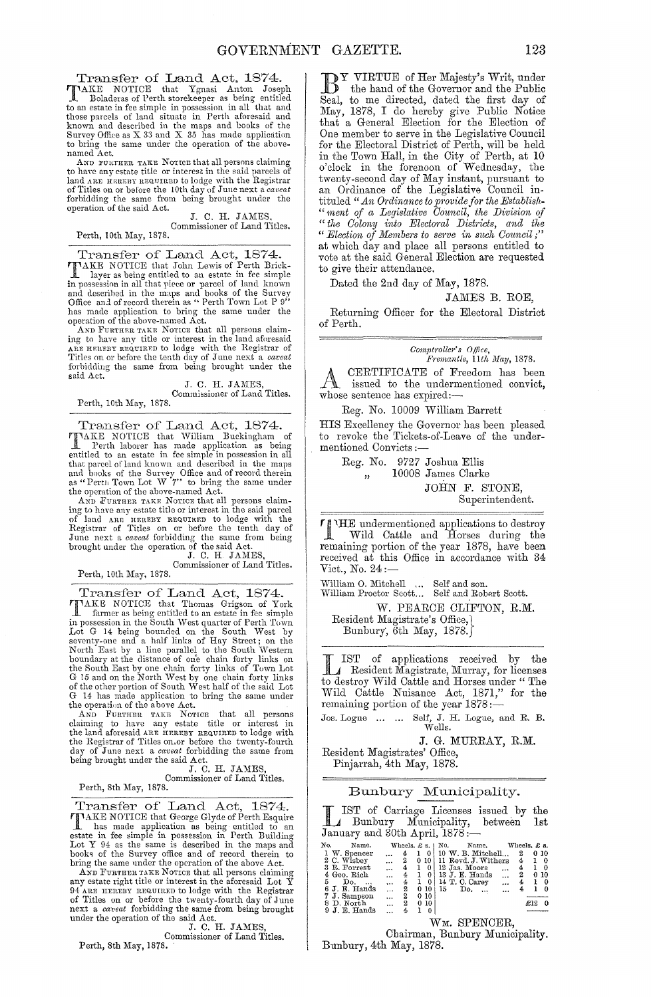Transfer of Land Act, 1874.

TAKE NOTICE that Ygnasi Anton Joseph R. Boladeras of Perth storekeeper as being entitled<br>to an estate in fee simple in possession in all that and<br>those parcels of land situate in Perth aforesaid and<br>known and described in named Act.

AND FURTHER TAKE NOTICE that all persons claiming<br>to have any estate title or interest in the said parcels of land ARE HEREBY REQUIRED to lodge with the Registrar of Titles on or before the 10th day of June next a *caveat* forbidding the same from being brought under the operation of the said Act.

J. C. H. JAMES Commissioner of Land Titles. Perth, 10th May, 1878.

Transfer of Land Act, 1874.<br>TAKE NOTICE that John Lewis of Perth Brick-<br>layer as being entitled to an estate in fee simple **TIMAKE NOTICE** that John Lewis of Perth Brick-<br>layer as being entitled to an estate in fee simple<br>in possession in all that piece or parcel of land known<br>and described in the maps and books of the Survey<br>Office and of rec

AND FURTHER TAKE NOTICE that all persons claiming to have any title or interest in the land aforesaid<br>Are neareny neourant to lodge with the Registrar of<br>Titles on or before the tenth day of June next a *caveat*<br>forbidding the same from being brought under the said Act.

J. C. H. JAMES, Commissioner of Land Titles.

Perth, 10th May, 1878.

Transfer of Land Act, 1874. **TIMAKE NOTICE** that William Buckingham of Perth laborer has made application as being entitled to an estate in fee simple in possession in all that pareel of land known and described in the maps and books of the Survey Of

as "Perth Town Lot W 7" to bring the same under<br>the operation of the above-named Act.<br>And Furtner TAKE Nortons that all persons claim-<br>ing to have any estate title or interest in the said parcel<br>of land ARE HEREBY REQUIRE

Commissioner of Land Titles. Perth, 10th May, 1878.

Transfer of Land Act, 1874. **TIMAKE NOTICE** that Thomas Grigson of York<br>In possession in the South West quarter of Perth Town<br>Iot G 14 being bounded on the South West quarter of Perth Town<br>Lot G 14 being bounded on the South West by<br>seventy-one and a

boundary at the distance of one chain forty links on<br>the South East by one chain forty links of Town Lot<br>G is and on the North West by one chain forty links<br>of the other portion of South West half of the said Lot<br>G 14 has

J. C. H. JAMES,<br>Commissioner of Land Titles.

Perth, 8th May, 1878.

Transfer of Land Act, 1874. TAKE NOTICE that George Glyde of Perth Esquire<br>
I has made application as being entitled to an<br>
estate in fee simple in possession in Perth Building<br>
Lot Y 94 as the same is described in the maps and<br>
books of the Survey o

AND FURTHER TAKE NOTICE that all persons claiming<br>any estate right title or interest in the aforesaid Lot Y<br>94 ARE HEREBY REQUIRED to lodge with the Registrar<br>of Titles on or before the twenty-fourth day of June next a *ca'real* forbidding the same from being brought under the operation of the said Act.<br>
J. C. H. JAMES,

Commissioner of Land Titles.

Perth, 8th May, 1878.

DY VIRTUE of Her Majesty's Writ, under the hand of the Governor and the Public Seal, to me directed, dated the first day of May, 1878, I do hereby give Public Notice that a General Election for the Election of One member to serve in the Legislative Council for the Electoral District of Perth, will be held in the Town Hall, in the City of Perth, at 10 o'clock in the forenoon of Wednesday, the twenty-second day of May instant, pursuant to an Ordinance of the Legislative Council intituled " *An Ordinance to provide for the Establish-"ment of a Legislative Oouncil, the DiviBion of "the Oolony into Electoml Districts, and the " Election of ]{embe1's to se1've in such Omtncil;"*  at which day and place all persons entitled to vote at the said General Election are requested to give their attendance.

Dated the 2nd day of May, 1878.

#### JAMES B. ROE,

Returning Officer for the Electoral District of Perth.

*Comptroller's* Office, *p"emantle, llth May, 1878.*  A CERTIFICATE of Freedom has been<br>issued to the undermentioned convict, whose sentence has expired:-

Reg. No. 10009 William Barrett

HIS Excellency the Governor has been pleased to revoke the Tickets-of-Leave of the undermentioned Convicts :-

> Reg. No. 9727 Joshua Ellis ", 10008 James Clarke JOHN F. STONE, Superintendent.

'l'HE undermentioned applications to destroy Wild Cattle and Horses during the remaining portion of the year 1878, have been received at this Office in accordance with 34 Vict., No. 24:-

William O. Mitchell (11) Self and son.<br>William Proctor Scott... Self and Robert Scott. W. PEARCE CLIFTON, R.M.

Resident Magistrate's Office, Bunbury, 6th May, 1878.

LIST of applications received by the  $\mathcal{L}$  Resident Magistrate, Murray, for licenses to destroy Wild Cattle and Horses under "The Wild Cattle Nuisance Act, 1871," for the remaining portion of the year 1878 :-

Jos. Logue ... ... Self, J. H. Logue, and R. B. Wells.

J. G. MURRAY, R.M.

Resident Magistrates' Office, Pinjarrah, 4th May, 1878.

#### Bunbury Municipality.

L IST of Carriage Licenses issued by Bunbury MunicipaJity, between January and 30th April, 1878: the 1st

| No. | Name.         |           | Wheels, $\pounds$ s. $\mid$ No. |   |     |    |     | Name.               |           | Wheels. £ s. |     |      |   |
|-----|---------------|-----------|---------------------------------|---|-----|----|-----|---------------------|-----------|--------------|-----|------|---|
|     | 1 W. Spencer  |           | 4                               |   |     |    |     | 10 W. B. Mitchell   |           | 2            |     | 0.10 |   |
|     | 2 C. Wisbey   | $\cdots$  | 2                               | 0 | -10 |    |     | 11 Revd. J. Withers |           | 4            |     |      | 0 |
|     | 3 R. Forrest  | $\ddotsc$ | 4                               |   |     |    |     | 12 Jas. Moore       | $\cdots$  | 4            |     |      | 0 |
|     | 4 Geo. Rich   |           | 4                               |   |     |    |     | 13 J. E. Hands      | $\ddotsc$ | 2            |     | 010  |   |
| 5   | Do.           | $\ddotsc$ | 4                               |   | 0   |    |     | 14 T. C. Carey      |           | 4            |     |      | 0 |
|     | 6 J. E. Hands | $\ddotsc$ | 2                               | 0 | -10 | 15 | Do. | $\cdots$            | $\cdots$  |              |     |      | 0 |
|     | 7 J. Sampson  | .         | 2                               |   | 010 |    |     |                     |           |              |     |      |   |
|     | 8 D. North    | $\cdots$  | 2                               | 0 | 10  |    |     |                     |           |              | £12 |      |   |
|     | $9J.E.$ Hands |           |                                 |   |     |    |     |                     |           |              |     |      |   |

#### WM. SPENCER,

Chairman, Bunbury Municipality. Bunbury,4th May, 1878.